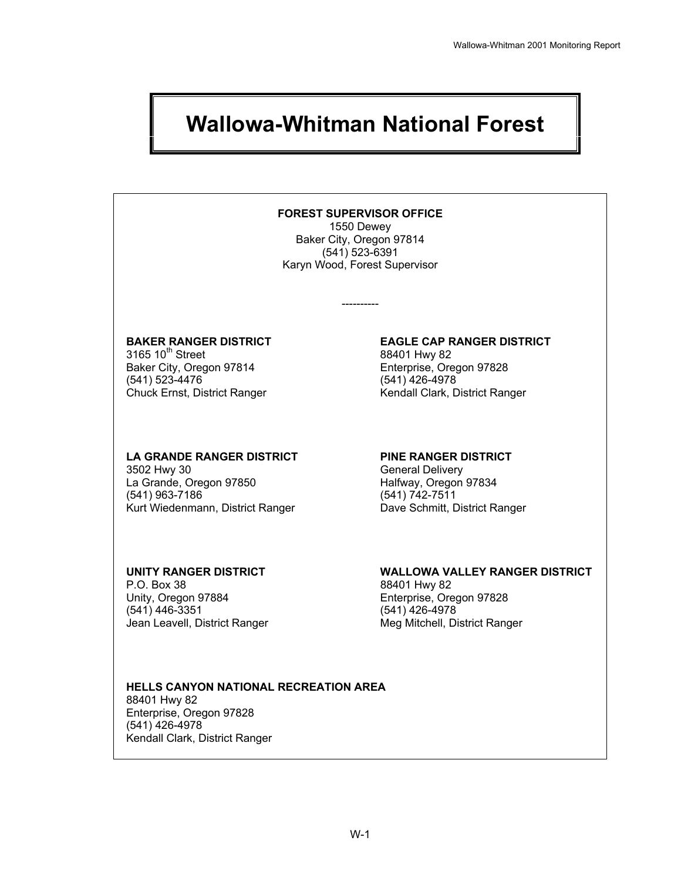# **Wallowa-Whitman National Forest**

#### **FOREST SUPERVISOR OFFICE**

1550 Dewey Baker City, Oregon 97814 (541) 523-6391 Karyn Wood, Forest Supervisor

----------

# 3165 10<sup>th</sup> Street 88401 Hwy 82<br>Baker City, Oregon 97814 **Enterprise**, Oregon 97828

Baker City, Oregon 97814<br>(541) 523-4476

#### **LA GRANDE RANGER DISTRICT PINE RANGER DISTRICT**

 3502 Hwy 30 General Delivery La Grande, Oregon 97850<br>(541) 963-7186 Kurt Wiedenmann, District Ranger Dave Schmitt, District Ranger

P.O. Box 38 88401 Hwy 82 Unity, Oregon 97884 Enterprise, Oregon 97828 (541) 446-3351 (541) 426-4978

# **BAKER RANGER DISTRICT EAGLE CAP RANGER DISTRICT**  (541) 426-4978 Chuck Ernst, District Ranger The Rendall Clark, District Ranger

 $(541) 742 - 7511$ 

### **UNITY RANGER DISTRICT WALLOWA VALLEY RANGER DISTRICT**

Jean Leavell, District Ranger **Meg Mitchell**, District Ranger

#### **HELLS CANYON NATIONAL RECREATION AREA**  88401 Hwy 82 Enterprise, Oregon 97828 (541) 426-4978 Kendall Clark, District Ranger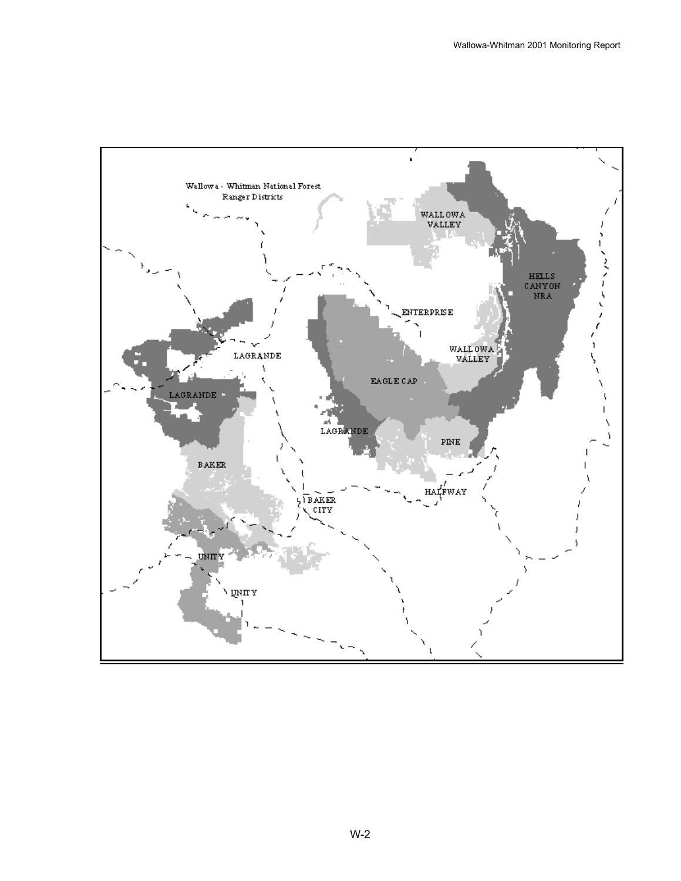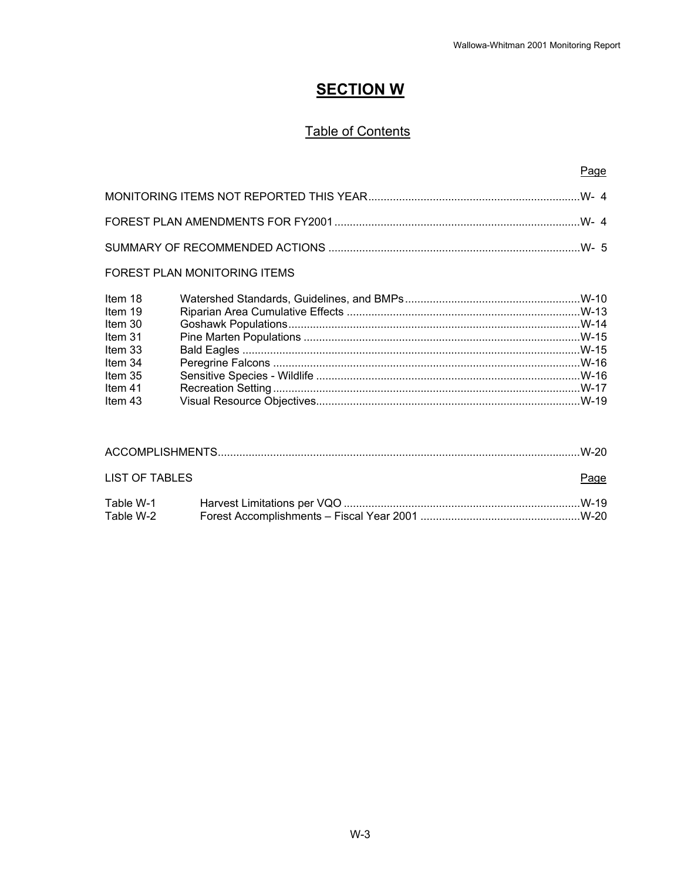# **SECTION W**

## Table of Contents

#### Page

#### FOREST PLAN MONITORING ITEMS

| Item 18 |  |
|---------|--|
| Item 19 |  |
| Item 30 |  |
| Item 31 |  |
| Item 33 |  |
| Item 34 |  |
| Item 35 |  |
| Item 41 |  |
| Item 43 |  |

| LIST OF TABLES         | Page |
|------------------------|------|
| Table W-1<br>Table W-2 |      |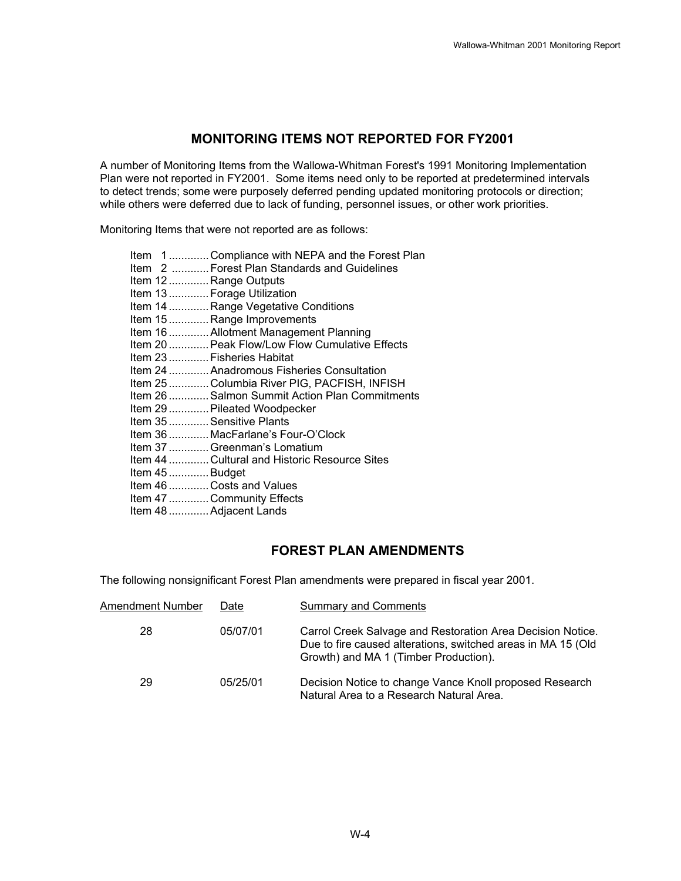#### **MONITORING ITEMS NOT REPORTED FOR FY2001**

A number of Monitoring Items from the Wallowa-Whitman Forest's 1991 Monitoring Implementation Plan were not reported in FY2001. Some items need only to be reported at predetermined intervals to detect trends; some were purposely deferred pending updated monitoring protocols or direction; while others were deferred due to lack of funding, personnel issues, or other work priorities.

Monitoring Items that were not reported are as follows:

#### **FOREST PLAN AMENDMENTS**

The following nonsignificant Forest Plan amendments were prepared in fiscal year 2001.

| Amendment Number | Date     | <b>Summary and Comments</b>                                                                                                                                         |
|------------------|----------|---------------------------------------------------------------------------------------------------------------------------------------------------------------------|
| 28               | 05/07/01 | Carrol Creek Salvage and Restoration Area Decision Notice.<br>Due to fire caused alterations, switched areas in MA 15 (Old<br>Growth) and MA 1 (Timber Production). |
| 29               | 05/25/01 | Decision Notice to change Vance Knoll proposed Research<br>Natural Area to a Research Natural Area.                                                                 |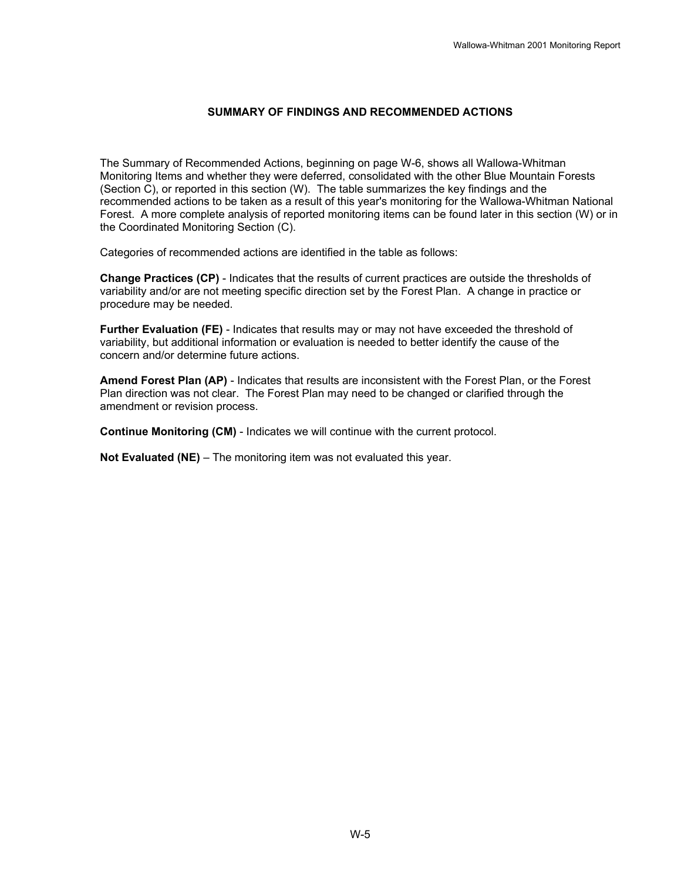#### **SUMMARY OF FINDINGS AND RECOMMENDED ACTIONS**

The Summary of Recommended Actions, beginning on page W-6, shows all Wallowa-Whitman Monitoring Items and whether they were deferred, consolidated with the other Blue Mountain Forests (Section C), or reported in this section (W). The table summarizes the key findings and the recommended actions to be taken as a result of this year's monitoring for the Wallowa-Whitman National Forest. A more complete analysis of reported monitoring items can be found later in this section (W) or in the Coordinated Monitoring Section (C).

Categories of recommended actions are identified in the table as follows:

**Change Practices (CP)** - Indicates that the results of current practices are outside the thresholds of variability and/or are not meeting specific direction set by the Forest Plan. A change in practice or procedure may be needed.

**Further Evaluation (FE)** - Indicates that results may or may not have exceeded the threshold of variability, but additional information or evaluation is needed to better identify the cause of the concern and/or determine future actions.

**Amend Forest Plan (AP)** - Indicates that results are inconsistent with the Forest Plan, or the Forest Plan direction was not clear. The Forest Plan may need to be changed or clarified through the amendment or revision process.

**Continue Monitoring (CM)** - Indicates we will continue with the current protocol.

**Not Evaluated (NE)** – The monitoring item was not evaluated this year.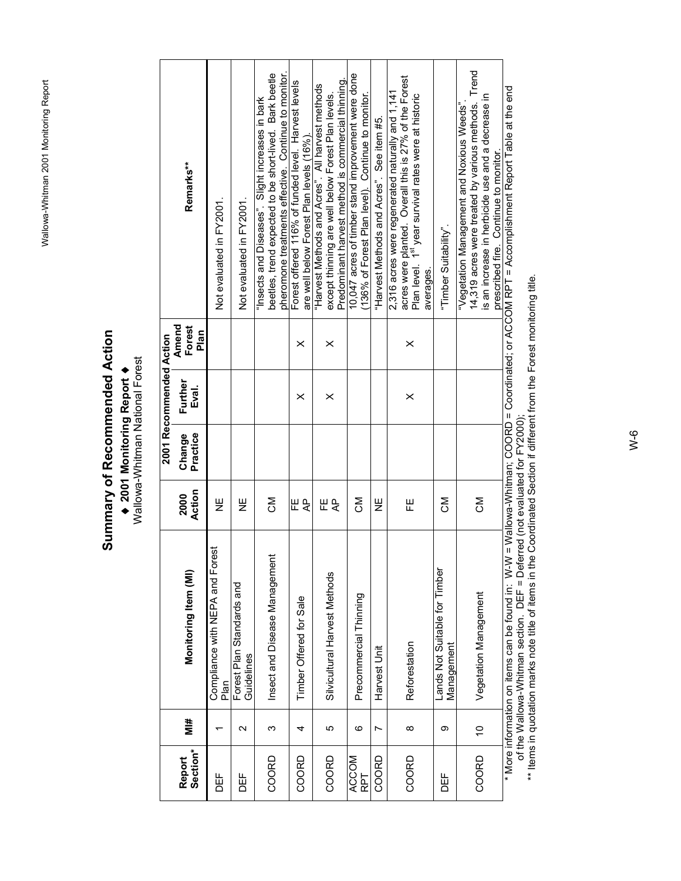# **Summary of Recommended Action**  Summary of Recommended Action ♦ **2001 Monitoring Report** ♦

◆ 2001 Monitoring Report ◆<br>Wallowa-Whitman National Forest Wallowa-Whitman National Forest

|                    |                   |                                                  |                     |                    | 2001 Recommended Action |                         |                                                                                                                                                                                                                                |
|--------------------|-------------------|--------------------------------------------------|---------------------|--------------------|-------------------------|-------------------------|--------------------------------------------------------------------------------------------------------------------------------------------------------------------------------------------------------------------------------|
| Section*<br>Report | #ik               | Monitoring Item (MI)                             | Action<br>2000      | Practice<br>Change | Further<br>Eval.        | Amend<br>Forest<br>Plan | Remarks**                                                                                                                                                                                                                      |
| <b>DEF</b>         |                   | Compliance with NEPA and Fores<br>Plan           | Ψ                   |                    |                         |                         | Not evaluated in FY2001.                                                                                                                                                                                                       |
| <b>HOO</b>         | $\mathbf{\Omega}$ | Forest Plan Standards and<br>Guidelines          | 닏<br>N              |                    |                         |                         | Not evaluated in FY2001.                                                                                                                                                                                                       |
| COORD              | ω                 | Insect and Disease Management                    | ŠΣ                  |                    |                         |                         | pheromone treatments effective. Continue to monitor.<br>beetles, trend expected to be short-lived. Bark beetle<br>"Insects and Diseases". Slight increases in bark                                                             |
| COORD              | 4                 | Timber Offered for Sale                          | 巴<br>$\overline{A}$ |                    | $\times$                | $\times$                | Forest offered 116% of funded level. Harvest levels<br>are well below Forest Plan levels (16%).                                                                                                                                |
| COORD              | 5                 | Silvicultural Harvest Methods                    | 뿐<br>$\overline{A}$ |                    | $\times$                | $\times$                | Predominant harvest method is commercial thinning<br>"Harvest Methods and Acres". All harvest methods<br>except thinning are well below Forest Plan levels.                                                                    |
| ACCOM<br>RPT       | ဖ                 | Precommercial Thinning                           | ŠΣ                  |                    |                         |                         | 10,047 acres of timber stand improvement were done<br>(136% of Forest Plan level). Continue to monitor.                                                                                                                        |
| COORD              | N                 | Harvest Unit                                     | ¥                   |                    |                         |                         | "Harvest Methods and Acres". See item #5.                                                                                                                                                                                      |
| COORD              | $\infty$          | Reforestation                                    | 푼                   |                    | $\times$                | $\times$                | acres were planted. Overall this is 27% of the Forest<br>2,316 acres were regenerated naturally and 1,141<br>Plan level. 1 <sup>st</sup> year survival rates were at historic<br>averages.                                     |
| DEF                | တ                 | Lands Not Suitable for Timber<br>Management      | ŠΣ                  |                    |                         |                         | "Timber Suitability".                                                                                                                                                                                                          |
| COORD              | $\tilde{c}$       | Vegetation Management                            | Σō                  |                    |                         |                         | 14,319 acres were treated by various methods. Trend<br>is an increase in herbicide use and a decrease in<br>"Vegetation Management and Noxious Weeds"<br>prescribed fire. Continue to monitor.                                 |
|                    |                   | www.information.com.it.com.ho.fou.und.in: \N/ \N |                     |                    |                         |                         | reset in the contract of the contraction of the contract of the contract of the contract of the contract of the contract of the contract of the contract of the contract of the contract of the contract of the contract of th |

\* More information on items can be found in: W-W = Wallowa-Whitman; COORD = Coordinated; or ACCOM RPT = Accomplishment Report Table at the end<br>of the Wallowa-Whitman section. DEF = Deferred (not evaluated for FY2000);<br>\*\* I \* More information on items can be found in: W-W = Wallowa-Whitman; COORD = Coordinated; or ACCOM RPT = Accomplishment Report Table at the end of the Wallowa-Whitman section. DEF = Deferred (not evaluated for FY2000);

\*\* Items in quotation marks note title of items in the Coordinated Section if different from the Forest monitoring title.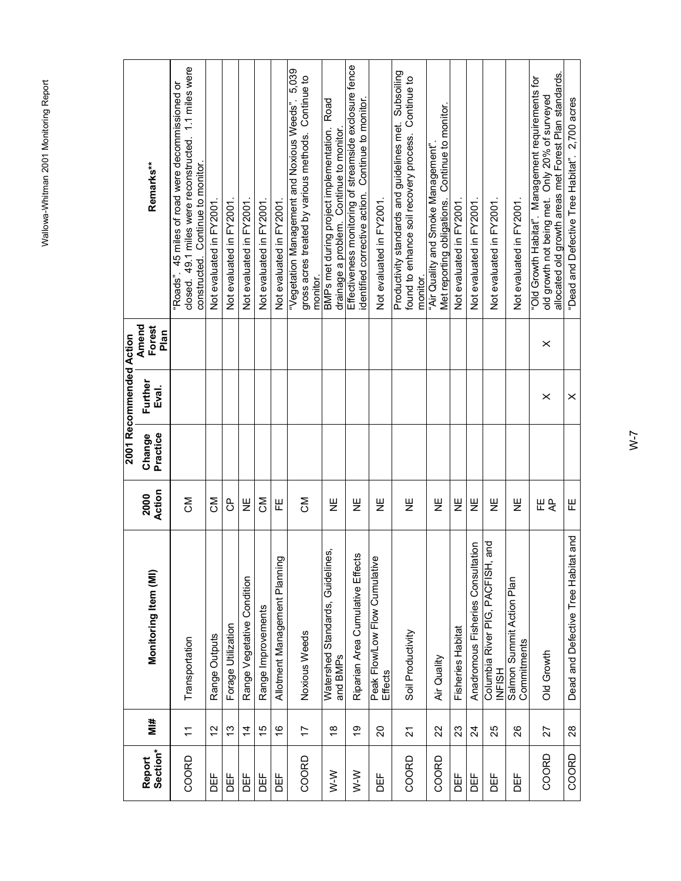|                         | Remarks**                                   | closed. 49.1 miles were reconstructed. 1.1 miles were<br>"Roads". 45 miles of road were decommissioned or<br>constructed. Continue to monitor. | Not evaluated in FY2001 | Not evaluated in FY2001 | Not evaluated in FY2001    | Not evaluated in FY2001 | Not evaluated in FY2001.      | "Vegetation Management and Noxious Weeds". 5,039<br>gross acres treated by various methods. Continue to<br>monitor. | Road<br>BMPs met during project implementation.<br>drainage a problem. Continue to monitor. | Effectiveness monitoring of streamside exclosure fence<br>identified corrective action. Continue to monitor | Not evaluated in FY2001.                 | Productivity standards and guidelines met. Subsoiling<br>found to enhance soil recovery process. Continue to<br>monitor. | Met reporting obligations. Continue to monitor.<br>"Air Quality and Smoke Management" | Not evaluated in FY2001  | Not evaluated in FY2001.          | Not evaluated in FY2001.                      | Not evaluated in FY2001.                 | allocated old growth areas met Forest Plan standards.<br>"Old Growth Habitat". Management requirements for<br>old growth not being met. Only 20% of surveyed | "Dead and Defective Tree Habitat". 2,700 acres |
|-------------------------|---------------------------------------------|------------------------------------------------------------------------------------------------------------------------------------------------|-------------------------|-------------------------|----------------------------|-------------------------|-------------------------------|---------------------------------------------------------------------------------------------------------------------|---------------------------------------------------------------------------------------------|-------------------------------------------------------------------------------------------------------------|------------------------------------------|--------------------------------------------------------------------------------------------------------------------------|---------------------------------------------------------------------------------------|--------------------------|-----------------------------------|-----------------------------------------------|------------------------------------------|--------------------------------------------------------------------------------------------------------------------------------------------------------------|------------------------------------------------|
| 2001 Recommended Action | Amend<br>Forest<br>Plan<br>Further<br>Eval. |                                                                                                                                                |                         |                         |                            |                         |                               |                                                                                                                     |                                                                                             |                                                                                                             |                                          |                                                                                                                          |                                                                                       |                          |                                   |                                               |                                          | $\times$<br>$\times$                                                                                                                                         | $\times$                                       |
|                         | Practice<br>Change                          |                                                                                                                                                |                         |                         |                            |                         |                               |                                                                                                                     |                                                                                             |                                                                                                             |                                          |                                                                                                                          |                                                                                       |                          |                                   |                                               |                                          |                                                                                                                                                              |                                                |
|                         | Action<br>2000                              | <b>MO</b>                                                                                                                                      | Σ<br>Ό                  | 9                       | 쁮                          | ŠΣ                      | 巴                             | ŠΣ                                                                                                                  | 쁮                                                                                           | 쁮                                                                                                           | Ψ                                        | Ψ                                                                                                                        | Ψ                                                                                     | Ψ                        | Ψ                                 | 닏<br>N                                        | Ψ                                        | ⊞<br>4                                                                                                                                                       | Щ                                              |
|                         | Monitoring Item (MI)                        | Transportation                                                                                                                                 | Range Outputs           | Forage Utilization      | Range Vegetative Condition | Range Improvements      | Allotment Management Planning | Noxious Weeds                                                                                                       | Watershed Standards, Guidelines,<br>and BMPs                                                | Riparian Area Cumulative Effects                                                                            | Peak Flow/Low Flow Cumulative<br>Effects | Soil Productivity                                                                                                        | Air Quality                                                                           | <b>Fisheries Habitat</b> | Anadromous Fisheries Consultation | and<br>Columbia River PIG, PACFISH,<br>INFISH | Salmon Summit Action Plan<br>Commitments | Old Growth                                                                                                                                                   | Dead and Defective Tree Habitat and            |
|                         | #iM                                         | $\tilde{t}$                                                                                                                                    | 51                      | 13                      | $\overline{4}$             | $\frac{5}{2}$           | $\frac{6}{5}$                 | $\overline{1}$                                                                                                      | $\overset{\infty}{\rightarrow}$                                                             | ó,                                                                                                          | $\overline{\Omega}$                      | $\overline{2}$                                                                                                           | 22                                                                                    | 23                       | $\overline{2}$                    | 25                                            | 26                                       | 27                                                                                                                                                           | $\frac{8}{2}$                                  |
|                         | Report<br>Section*                          | COORD                                                                                                                                          | DEF                     | 出口                      | DEF                        | DEF                     | DEF<br>D                      | COORD                                                                                                               | $W-N$                                                                                       | $W-N$                                                                                                       | 出口                                       | COORD                                                                                                                    | COORD                                                                                 | ЪË                       | DEF                               | DEF<br>D                                      | <b>DEF</b>                               | COORD                                                                                                                                                        | COORD                                          |

W-7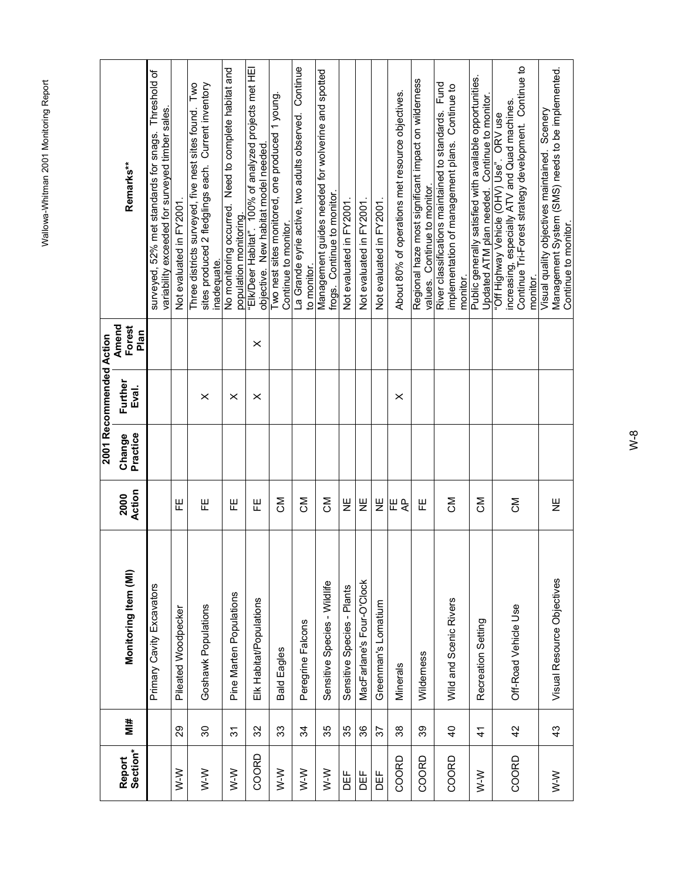|                    |                |                              |                |                    | 2001 Recommended Action |                         |                                                                                                                                                                |
|--------------------|----------------|------------------------------|----------------|--------------------|-------------------------|-------------------------|----------------------------------------------------------------------------------------------------------------------------------------------------------------|
| Section*<br>Report | #iM            | Monitoring Item (MI)         | Action<br>2000 | Practice<br>Change | Further<br>Eval.        | Amend<br>Forest<br>Plan | Remarks**                                                                                                                                                      |
|                    |                | Primary Cavity Excavators    |                |                    |                         |                         | surveyed, 52% met standards for snags. Threshold of<br>variability exceeded for surveyed timber sales.                                                         |
| $W-N$              | 29             | Pileated Woodpecker          | 푼              |                    |                         |                         | Not evaluated in FY2001.                                                                                                                                       |
| $W-N$              | 30             | Goshawk Populations          | 巴              |                    | $\times$                |                         | Three districts surveyed, five nest sites found. Two<br>sites produced 2 fledglings each. Current inventory<br>inadequate.                                     |
| $W-W$              | $\frac{1}{3}$  | Pine Marten Populations      | 뿐              |                    | $\times$                |                         | No monitoring occurred. Need to complete habitat and<br>population monitoring.                                                                                 |
| COORD              | 32             | Elk Habitat/Populations      | 뿐              |                    | $\times$                | $\times$                | "EIK/Deer Habitat". 100% of analyzed projects met HEI<br>objective. New habitat model needed.                                                                  |
| $W-W$              | 33             | <b>Bald Eagles</b>           | ŠΣ             |                    |                         |                         | Two nest sites monitored, one produced 1 young.<br>Continue to monitor.                                                                                        |
| $W-W$              | 34             | Peregrine Falcons            | ŠΣ             |                    |                         |                         | Continue<br>La Grande eyrie active, two adults observed.<br>to monitor.                                                                                        |
| $W-N$              | 35             | Sensitive Species - Wildlife | ŠΣ             |                    |                         |                         | Management guides needed for wolverine and spotted<br>frogs. Continue to monitor.                                                                              |
| ЪË                 | 35             | Sensitive Species - Plants   | 쁮              |                    |                         |                         | Not evaluated in FY2001                                                                                                                                        |
| DEF                | 86             | MacFarlane's Four-O'Clock    | Ψ              |                    |                         |                         | Not evaluated in FY2001                                                                                                                                        |
| 岀                  | 22             | Greenman's Lomatium          | 쁮              |                    |                         |                         | Not evaluated in FY2001.                                                                                                                                       |
| COORD              | 38             | Minerals                     | ⊞ ę            |                    | ×                       |                         | About 80% of operations met resource objectives.                                                                                                               |
| COORD              | 33             | Wilderness                   | 뿐              |                    |                         |                         | Regional haze most significant impact on wilderness<br>Continue to monitor.<br>values.                                                                         |
| COORD              | $\overline{4}$ | Wild and Scenic Rivers       | ŠΣ             |                    |                         |                         | River classifications maintained to standards. Fund<br>implementation of management plans. Continue to<br>monitor.                                             |
| $W-N$              | $\mathcal{A}$  | Recreation Setting           | <b>NC</b>      |                    |                         |                         | Public generally satisfied with available opportunities.<br>Updated ATM plan needed. Continue to monitor.                                                      |
| COORD              | 42             | Off-Road Vehicle Use         | ŠΣ             |                    |                         |                         | Continue Tri-Forest strategy development. Continue to<br>increasing, especially ATV and Quad machines.<br>"Off Highway Vehicle (OHV) Use". ORV use<br>monitor. |
| $W-N$              | 43             | Visual Resource Objectives   | 쁮              |                    |                         |                         | Management System (SMS) needs to be implemented.<br>Visual quality objectives maintained. Scenery<br>Continue to monitor.                                      |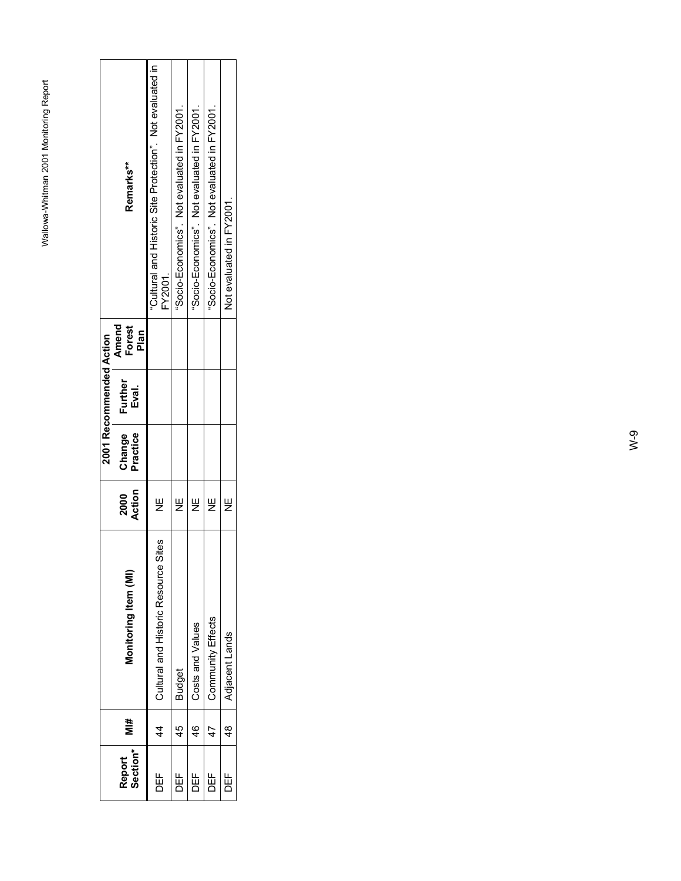|                    |                |                                      |                |                    | 2001 Recommended Action                     |                                                                      |
|--------------------|----------------|--------------------------------------|----------------|--------------------|---------------------------------------------|----------------------------------------------------------------------|
| Section*<br>Report | #<br>Σ         | Monitoring Item (MI)                 | Action<br>2000 | Change<br>Practice | Amend<br>Forest<br>Plan<br>Further<br>Eval. | Remarks**                                                            |
| DEF<br>D           | 4              | Cultural and Historic Resource Sites | Ψ              |                    |                                             | "Cultural and Historic Site Protection". Not evaluated in<br>FY2001. |
| ₩<br>DEF           | 45             | <b>Budget</b>                        | Ψ              |                    |                                             | "Socio-Economics". Not evaluated in FY2001.                          |
| 出<br>DE            | 46             | Costs and Values                     | ।<br>≥         |                    |                                             | "Socio-Economics". Not evaluated in FY2001.                          |
| DEF<br>D           | 47             | Community Effects                    | ш<br>Z         |                    |                                             | "Socio-Economics". Not evaluated in FY2001.                          |
| 出<br>DEF           | $\frac{48}{1}$ | Adjacent Lands                       | y<br>∠         |                    |                                             | Not evaluated in FY2001.                                             |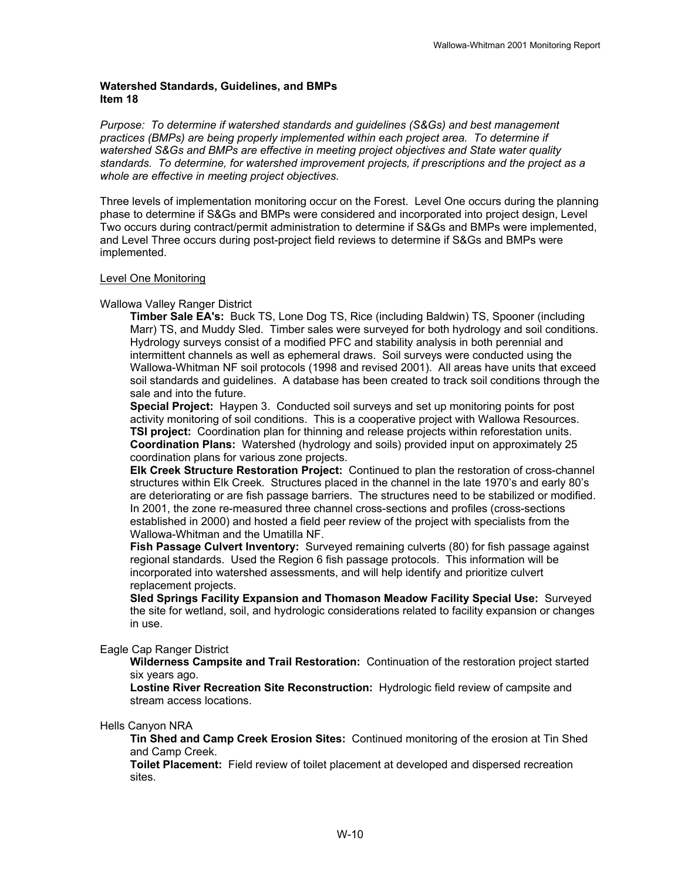#### **Watershed Standards, Guidelines, and BMPs Item 18**

*Purpose: To determine if watershed standards and guidelines (S&Gs) and best management practices (BMPs) are being properly implemented within each project area. To determine if watershed S&Gs and BMPs are effective in meeting project objectives and State water quality standards. To determine, for watershed improvement projects, if prescriptions and the project as a whole are effective in meeting project objectives.* 

Three levels of implementation monitoring occur on the Forest. Level One occurs during the planning phase to determine if S&Gs and BMPs were considered and incorporated into project design, Level Two occurs during contract/permit administration to determine if S&Gs and BMPs were implemented, and Level Three occurs during post-project field reviews to determine if S&Gs and BMPs were implemented.

#### Level One Monitoring

#### Wallowa Valley Ranger District

**Timber Sale EA's:** Buck TS, Lone Dog TS, Rice (including Baldwin) TS, Spooner (including Marr) TS, and Muddy Sled. Timber sales were surveyed for both hydrology and soil conditions. Hydrology surveys consist of a modified PFC and stability analysis in both perennial and intermittent channels as well as ephemeral draws. Soil surveys were conducted using the Wallowa-Whitman NF soil protocols (1998 and revised 2001). All areas have units that exceed soil standards and guidelines. A database has been created to track soil conditions through the sale and into the future.

**Special Project:** Haypen 3. Conducted soil surveys and set up monitoring points for post activity monitoring of soil conditions. This is a cooperative project with Wallowa Resources. **TSI project:** Coordination plan for thinning and release projects within reforestation units. **Coordination Plans:** Watershed (hydrology and soils) provided input on approximately 25 coordination plans for various zone projects.

**Elk Creek Structure Restoration Project:** Continued to plan the restoration of cross-channel structures within Elk Creek. Structures placed in the channel in the late 1970's and early 80's are deteriorating or are fish passage barriers. The structures need to be stabilized or modified. In 2001, the zone re-measured three channel cross-sections and profiles (cross-sections established in 2000) and hosted a field peer review of the project with specialists from the Wallowa-Whitman and the Umatilla NF.

**Fish Passage Culvert Inventory:** Surveyed remaining culverts (80) for fish passage against regional standards. Used the Region 6 fish passage protocols. This information will be incorporated into watershed assessments, and will help identify and prioritize culvert replacement projects.

**Sled Springs Facility Expansion and Thomason Meadow Facility Special Use:** Surveyed the site for wetland, soil, and hydrologic considerations related to facility expansion or changes in use.

#### Eagle Cap Ranger District

**Wilderness Campsite and Trail Restoration:** Continuation of the restoration project started six years ago.

**Lostine River Recreation Site Reconstruction:** Hydrologic field review of campsite and stream access locations.

#### Hells Canyon NRA

**Tin Shed and Camp Creek Erosion Sites:** Continued monitoring of the erosion at Tin Shed and Camp Creek.

**Toilet Placement:** Field review of toilet placement at developed and dispersed recreation sites.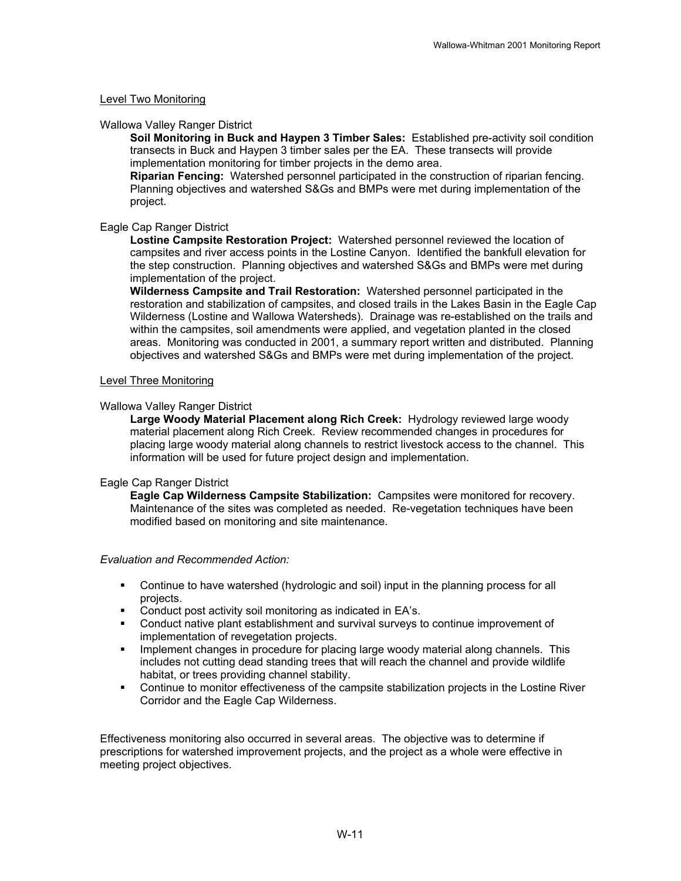#### Level Two Monitoring

#### Wallowa Valley Ranger District

**Soil Monitoring in Buck and Haypen 3 Timber Sales:** Established pre-activity soil condition transects in Buck and Haypen 3 timber sales per the EA. These transects will provide implementation monitoring for timber projects in the demo area.

**Riparian Fencing:** Watershed personnel participated in the construction of riparian fencing. Planning objectives and watershed S&Gs and BMPs were met during implementation of the project.

#### Eagle Cap Ranger District

**Lostine Campsite Restoration Project:** Watershed personnel reviewed the location of campsites and river access points in the Lostine Canyon. Identified the bankfull elevation for the step construction. Planning objectives and watershed S&Gs and BMPs were met during implementation of the project.

**Wilderness Campsite and Trail Restoration:** Watershed personnel participated in the restoration and stabilization of campsites, and closed trails in the Lakes Basin in the Eagle Cap Wilderness (Lostine and Wallowa Watersheds). Drainage was re-established on the trails and within the campsites, soil amendments were applied, and vegetation planted in the closed areas. Monitoring was conducted in 2001, a summary report written and distributed. Planning objectives and watershed S&Gs and BMPs were met during implementation of the project.

#### Level Three Monitoring

#### Wallowa Valley Ranger District

**Large Woody Material Placement along Rich Creek:** Hydrology reviewed large woody material placement along Rich Creek. Review recommended changes in procedures for placing large woody material along channels to restrict livestock access to the channel. This information will be used for future project design and implementation.

#### Eagle Cap Ranger District

**Eagle Cap Wilderness Campsite Stabilization:** Campsites were monitored for recovery. Maintenance of the sites was completed as needed. Re-vegetation techniques have been modified based on monitoring and site maintenance.

#### *Evaluation and Recommended Action:*

- Continue to have watershed (hydrologic and soil) input in the planning process for all projects.
- Conduct post activity soil monitoring as indicated in EA's.
- Conduct native plant establishment and survival surveys to continue improvement of implementation of revegetation projects.
- **IMPLEMENT CHANGES IN PROCEDUTE for placing large woody material along channels. This** includes not cutting dead standing trees that will reach the channel and provide wildlife habitat, or trees providing channel stability.
- Continue to monitor effectiveness of the campsite stabilization projects in the Lostine River Corridor and the Eagle Cap Wilderness.

Effectiveness monitoring also occurred in several areas. The objective was to determine if prescriptions for watershed improvement projects, and the project as a whole were effective in meeting project objectives.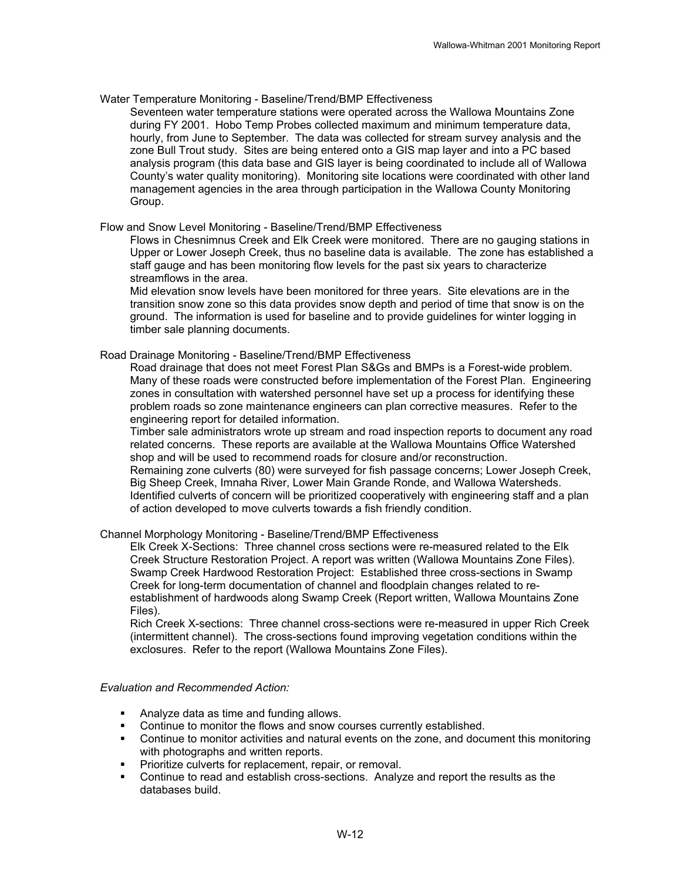#### Water Temperature Monitoring - Baseline/Trend/BMP Effectiveness

Seventeen water temperature stations were operated across the Wallowa Mountains Zone during FY 2001. Hobo Temp Probes collected maximum and minimum temperature data, hourly, from June to September. The data was collected for stream survey analysis and the zone Bull Trout study. Sites are being entered onto a GIS map layer and into a PC based analysis program (this data base and GIS layer is being coordinated to include all of Wallowa County's water quality monitoring). Monitoring site locations were coordinated with other land management agencies in the area through participation in the Wallowa County Monitoring Group.

#### Flow and Snow Level Monitoring - Baseline/Trend/BMP Effectiveness

Flows in Chesnimnus Creek and Elk Creek were monitored. There are no gauging stations in Upper or Lower Joseph Creek, thus no baseline data is available. The zone has established a staff gauge and has been monitoring flow levels for the past six years to characterize streamflows in the area.

Mid elevation snow levels have been monitored for three years. Site elevations are in the transition snow zone so this data provides snow depth and period of time that snow is on the ground. The information is used for baseline and to provide guidelines for winter logging in timber sale planning documents.

#### Road Drainage Monitoring - Baseline/Trend/BMP Effectiveness

Road drainage that does not meet Forest Plan S&Gs and BMPs is a Forest-wide problem. Many of these roads were constructed before implementation of the Forest Plan. Engineering zones in consultation with watershed personnel have set up a process for identifying these problem roads so zone maintenance engineers can plan corrective measures. Refer to the engineering report for detailed information.

Timber sale administrators wrote up stream and road inspection reports to document any road related concerns. These reports are available at the Wallowa Mountains Office Watershed shop and will be used to recommend roads for closure and/or reconstruction. Remaining zone culverts (80) were surveyed for fish passage concerns; Lower Joseph Creek, Big Sheep Creek, Imnaha River, Lower Main Grande Ronde, and Wallowa Watersheds. Identified culverts of concern will be prioritized cooperatively with engineering staff and a plan of action developed to move culverts towards a fish friendly condition.

#### Channel Morphology Monitoring - Baseline/Trend/BMP Effectiveness

Elk Creek X-Sections: Three channel cross sections were re-measured related to the Elk Creek Structure Restoration Project. A report was written (Wallowa Mountains Zone Files). Swamp Creek Hardwood Restoration Project: Established three cross-sections in Swamp Creek for long-term documentation of channel and floodplain changes related to reestablishment of hardwoods along Swamp Creek (Report written, Wallowa Mountains Zone Files).

Rich Creek X-sections: Three channel cross-sections were re-measured in upper Rich Creek (intermittent channel). The cross-sections found improving vegetation conditions within the exclosures. Refer to the report (Wallowa Mountains Zone Files).

#### *Evaluation and Recommended Action:*

- Analyze data as time and funding allows.
- Continue to monitor the flows and snow courses currently established.
- Continue to monitor activities and natural events on the zone, and document this monitoring with photographs and written reports.
- **Prioritize culverts for replacement, repair, or removal.**
- Continue to read and establish cross-sections. Analyze and report the results as the databases build.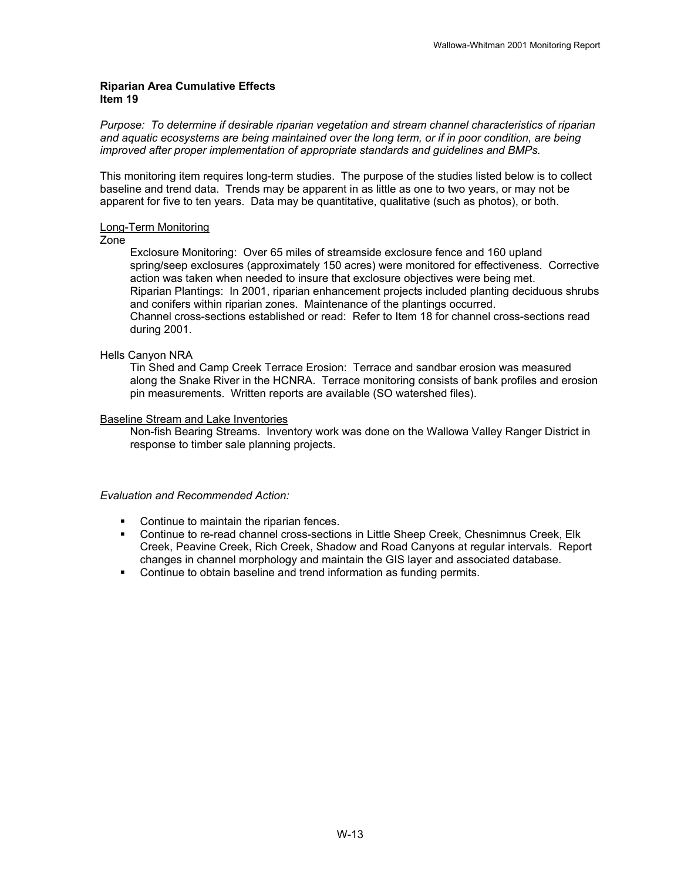#### **Riparian Area Cumulative Effects Item 19**

*Purpose: To determine if desirable riparian vegetation and stream channel characteristics of riparian and aquatic ecosystems are being maintained over the long term, or if in poor condition, are being improved after proper implementation of appropriate standards and guidelines and BMPs.* 

This monitoring item requires long-term studies. The purpose of the studies listed below is to collect baseline and trend data. Trends may be apparent in as little as one to two years, or may not be apparent for five to ten years. Data may be quantitative, qualitative (such as photos), or both.

#### Long-Term Monitoring

#### Zone

Exclosure Monitoring: Over 65 miles of streamside exclosure fence and 160 upland spring/seep exclosures (approximately 150 acres) were monitored for effectiveness. Corrective action was taken when needed to insure that exclosure objectives were being met. Riparian Plantings: In 2001, riparian enhancement projects included planting deciduous shrubs and conifers within riparian zones. Maintenance of the plantings occurred. Channel cross-sections established or read: Refer to Item 18 for channel cross-sections read during 2001.

#### Hells Canyon NRA

Tin Shed and Camp Creek Terrace Erosion: Terrace and sandbar erosion was measured along the Snake River in the HCNRA. Terrace monitoring consists of bank profiles and erosion pin measurements. Written reports are available (SO watershed files).

#### Baseline Stream and Lake Inventories

Non-fish Bearing Streams. Inventory work was done on the Wallowa Valley Ranger District in response to timber sale planning projects.

#### *Evaluation and Recommended Action:*

- Continue to maintain the riparian fences.
- Continue to re-read channel cross-sections in Little Sheep Creek, Chesnimnus Creek, Elk Creek, Peavine Creek, Rich Creek, Shadow and Road Canyons at regular intervals. Report changes in channel morphology and maintain the GIS layer and associated database.
- Continue to obtain baseline and trend information as funding permits.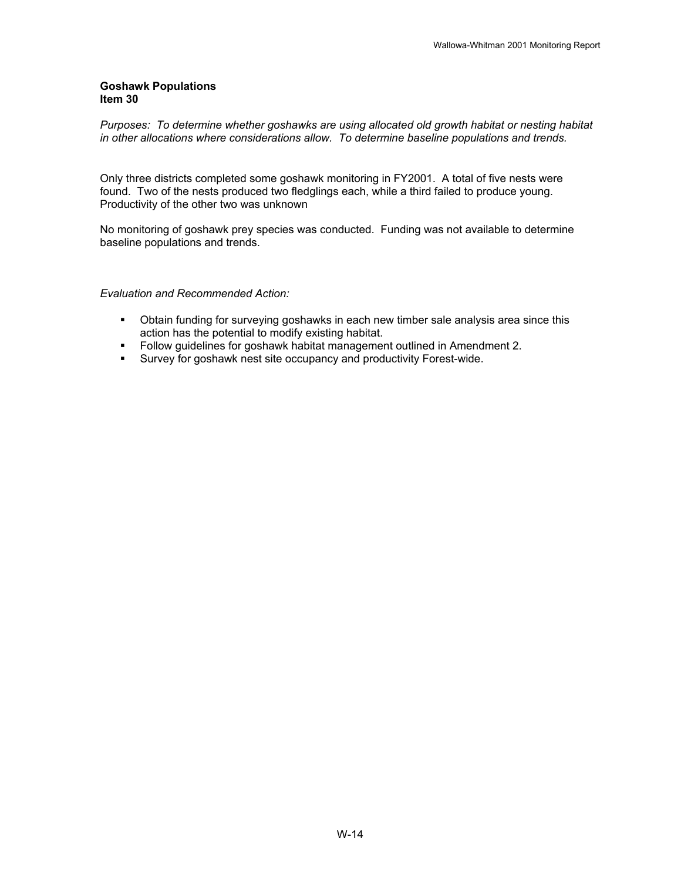#### **Goshawk Populations Item 30**

*Purposes: To determine whether goshawks are using allocated old growth habitat or nesting habitat in other allocations where considerations allow. To determine baseline populations and trends.* 

Only three districts completed some goshawk monitoring in FY2001. A total of five nests were found. Two of the nests produced two fledglings each, while a third failed to produce young. Productivity of the other two was unknown

No monitoring of goshawk prey species was conducted. Funding was not available to determine baseline populations and trends.

*Evaluation and Recommended Action:*

- Obtain funding for surveying goshawks in each new timber sale analysis area since this action has the potential to modify existing habitat.
- Follow guidelines for goshawk habitat management outlined in Amendment 2.
- **Survey for goshawk nest site occupancy and productivity Forest-wide.**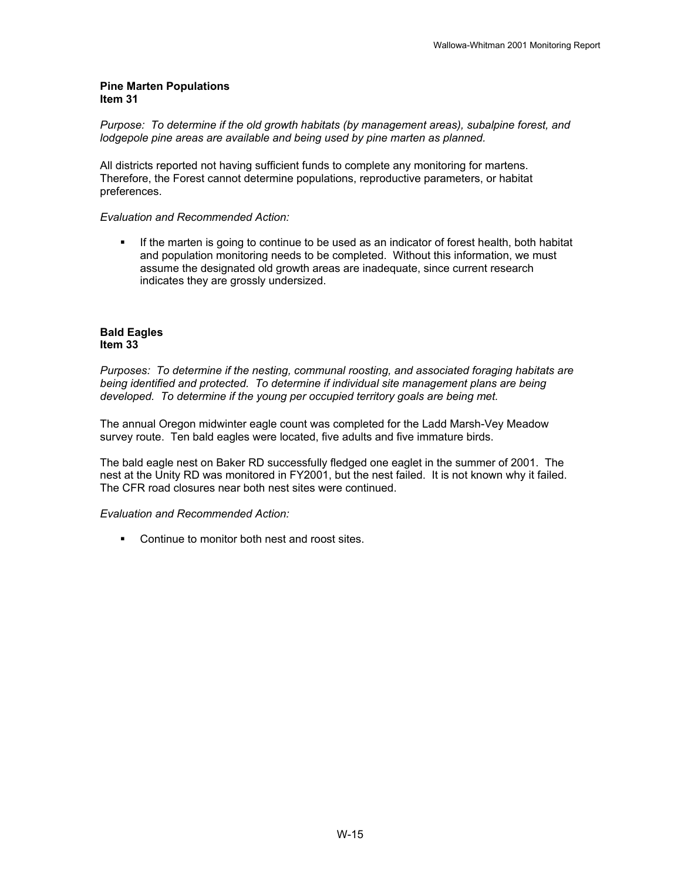#### **Pine Marten Populations Item 31**

*Purpose: To determine if the old growth habitats (by management areas), subalpine forest, and*  lodgepole pine areas are available and being used by pine marten as planned.

All districts reported not having sufficient funds to complete any monitoring for martens. Therefore, the Forest cannot determine populations, reproductive parameters, or habitat preferences.

#### *Evaluation and Recommended Action:*

 If the marten is going to continue to be used as an indicator of forest health, both habitat and population monitoring needs to be completed. Without this information, we must assume the designated old growth areas are inadequate, since current research indicates they are grossly undersized.

#### **Bald Eagles Item 33**

*Purposes: To determine if the nesting, communal roosting, and associated foraging habitats are being identified and protected. To determine if individual site management plans are being developed. To determine if the young per occupied territory goals are being met.* 

The annual Oregon midwinter eagle count was completed for the Ladd Marsh-Vey Meadow survey route. Ten bald eagles were located, five adults and five immature birds.

The bald eagle nest on Baker RD successfully fledged one eaglet in the summer of 2001. The nest at the Unity RD was monitored in FY2001, but the nest failed. It is not known why it failed. The CFR road closures near both nest sites were continued.

#### *Evaluation and Recommended Action:*

**Continue to monitor both nest and roost sites.**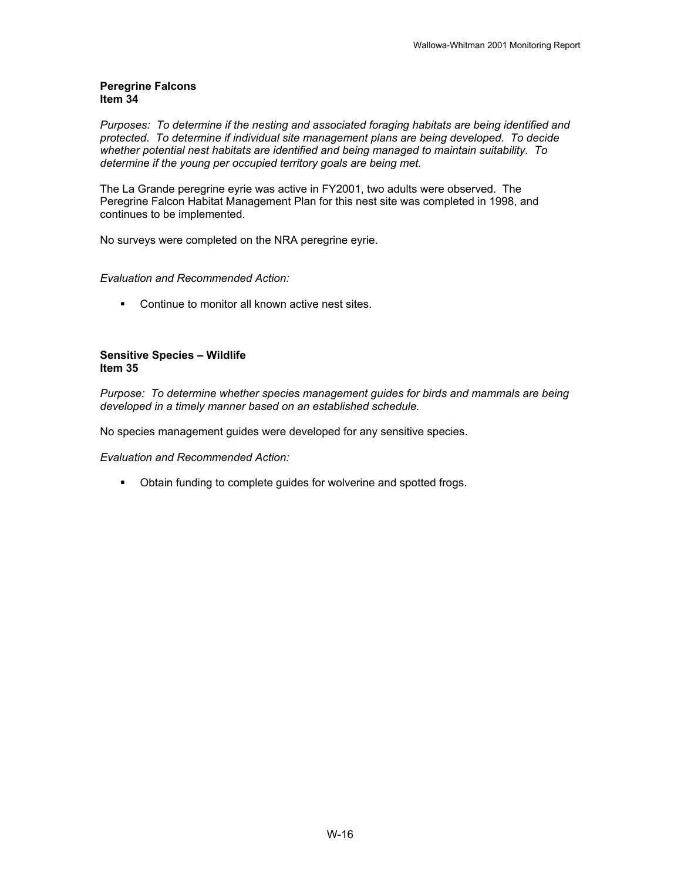#### **Peregrine Falcons Item 34**

*Purposes: To determine if the nesting and associated foraging habitats are being identified and protected. To determine if individual site management plans are being developed. To decide whether potential nest habitats are identified and being managed to maintain suitability. To determine if the young per occupied territory goals are being met.* 

The La Grande peregrine eyrie was active in FY2001, two adults were observed. The Peregrine Falcon Habitat Management Plan for this nest site was completed in 1998, and continues to be implemented.

No surveys were completed on the NRA peregrine eyrie.

#### *Evaluation and Recommended Action:*

**• Continue to monitor all known active nest sites.** 

#### **Sensitive Species – Wildlife Item 35**

*Purpose: To determine whether species management guides for birds and mammals are being developed in a timely manner based on an established schedule.* 

No species management guides were developed for any sensitive species.

*Evaluation and Recommended Action:* 

**• Obtain funding to complete guides for wolverine and spotted frogs.**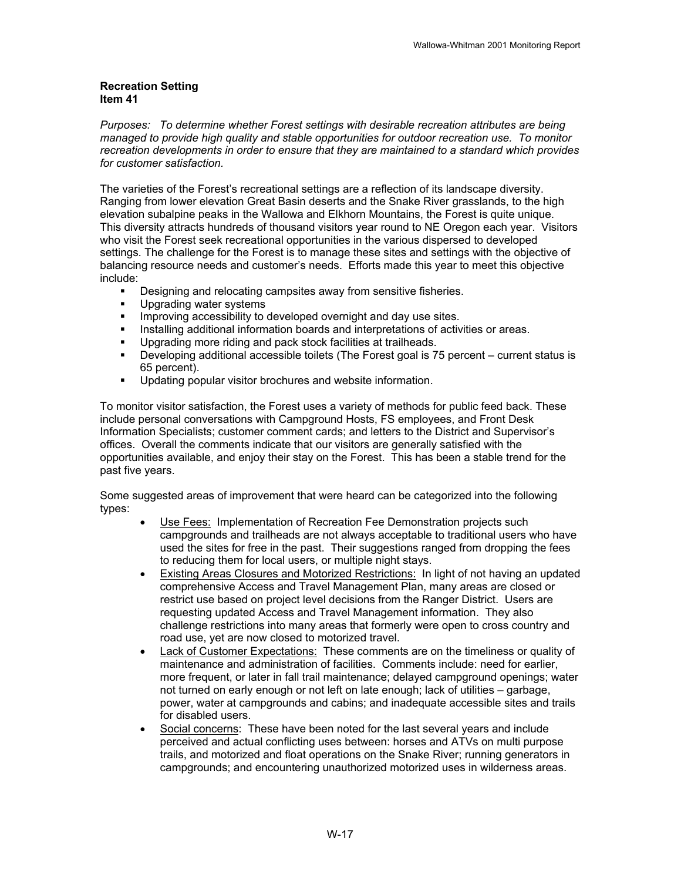#### **Recreation Setting Item 41**

*Purposes: To determine whether Forest settings with desirable recreation attributes are being managed to provide high quality and stable opportunities for outdoor recreation use. To monitor recreation developments in order to ensure that they are maintained to a standard which provides for customer satisfaction.*

The varieties of the Forest's recreational settings are a reflection of its landscape diversity. Ranging from lower elevation Great Basin deserts and the Snake River grasslands, to the high elevation subalpine peaks in the Wallowa and Elkhorn Mountains, the Forest is quite unique. This diversity attracts hundreds of thousand visitors year round to NE Oregon each year. Visitors who visit the Forest seek recreational opportunities in the various dispersed to developed settings. The challenge for the Forest is to manage these sites and settings with the objective of balancing resource needs and customer's needs. Efforts made this year to meet this objective include:

- **•** Designing and relocating campsites away from sensitive fisheries.
- **Upgrading water systems**
- **IMPROVING ACCESSIBILITY TO developed overnight and day use sites.**
- Installing additional information boards and interpretations of activities or areas.
- **Upgrading more riding and pack stock facilities at trailheads.**
- Developing additional accessible toilets (The Forest goal is 75 percent current status is 65 percent).
- **Updating popular visitor brochures and website information.**

To monitor visitor satisfaction, the Forest uses a variety of methods for public feed back. These include personal conversations with Campground Hosts, FS employees, and Front Desk Information Specialists; customer comment cards; and letters to the District and Supervisor's offices. Overall the comments indicate that our visitors are generally satisfied with the opportunities available, and enjoy their stay on the Forest. This has been a stable trend for the past five years.

Some suggested areas of improvement that were heard can be categorized into the following types:

- Use Fees: Implementation of Recreation Fee Demonstration projects such campgrounds and trailheads are not always acceptable to traditional users who have used the sites for free in the past. Their suggestions ranged from dropping the fees to reducing them for local users, or multiple night stays.
- Existing Areas Closures and Motorized Restrictions: In light of not having an updated comprehensive Access and Travel Management Plan, many areas are closed or restrict use based on project level decisions from the Ranger District. Users are requesting updated Access and Travel Management information. They also challenge restrictions into many areas that formerly were open to cross country and road use, yet are now closed to motorized travel.
- Lack of Customer Expectations: These comments are on the timeliness or quality of maintenance and administration of facilities. Comments include: need for earlier, more frequent, or later in fall trail maintenance; delayed campground openings; water not turned on early enough or not left on late enough; lack of utilities – garbage, power, water at campgrounds and cabins; and inadequate accessible sites and trails for disabled users.
- Social concerns: These have been noted for the last several years and include perceived and actual conflicting uses between: horses and ATVs on multi purpose trails, and motorized and float operations on the Snake River; running generators in campgrounds; and encountering unauthorized motorized uses in wilderness areas.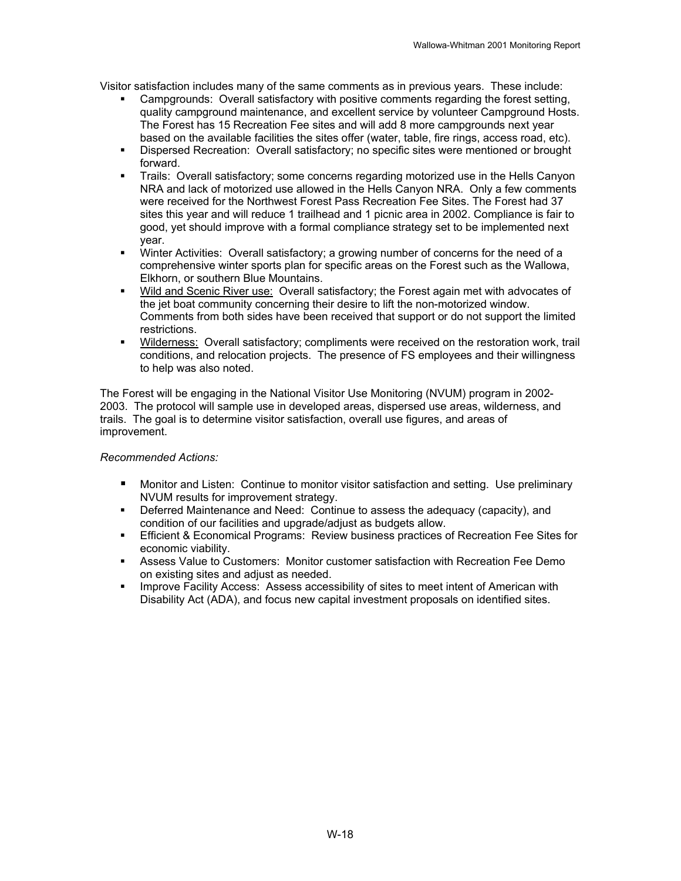Visitor satisfaction includes many of the same comments as in previous years. These include:

- Campgrounds: Overall satisfactory with positive comments regarding the forest setting, quality campground maintenance, and excellent service by volunteer Campground Hosts. The Forest has 15 Recreation Fee sites and will add 8 more campgrounds next year based on the available facilities the sites offer (water, table, fire rings, access road, etc).
- Dispersed Recreation: Overall satisfactory; no specific sites were mentioned or brought forward.
- Trails: Overall satisfactory; some concerns regarding motorized use in the Hells Canyon NRA and lack of motorized use allowed in the Hells Canyon NRA. Only a few comments were received for the Northwest Forest Pass Recreation Fee Sites. The Forest had 37 sites this year and will reduce 1 trailhead and 1 picnic area in 2002. Compliance is fair to good, yet should improve with a formal compliance strategy set to be implemented next year.
- Winter Activities: Overall satisfactory; a growing number of concerns for the need of a comprehensive winter sports plan for specific areas on the Forest such as the Wallowa, Elkhorn, or southern Blue Mountains.
- Wild and Scenic River use: Overall satisfactory; the Forest again met with advocates of the jet boat community concerning their desire to lift the non-motorized window. Comments from both sides have been received that support or do not support the limited restrictions.
- Wilderness: Overall satisfactory; compliments were received on the restoration work, trail conditions, and relocation projects. The presence of FS employees and their willingness to help was also noted.

The Forest will be engaging in the National Visitor Use Monitoring (NVUM) program in 2002- 2003. The protocol will sample use in developed areas, dispersed use areas, wilderness, and trails. The goal is to determine visitor satisfaction, overall use figures, and areas of improvement.

#### *Recommended Actions:*

- Monitor and Listen: Continue to monitor visitor satisfaction and setting. Use preliminary NVUM results for improvement strategy.
- Deferred Maintenance and Need: Continue to assess the adequacy (capacity), and condition of our facilities and upgrade/adjust as budgets allow.
- Efficient & Economical Programs: Review business practices of Recreation Fee Sites for economic viability.
- Assess Value to Customers: Monitor customer satisfaction with Recreation Fee Demo on existing sites and adjust as needed.
- **IMPROVE Facility Access: Assess accessibility of sites to meet intent of American with** Disability Act (ADA), and focus new capital investment proposals on identified sites.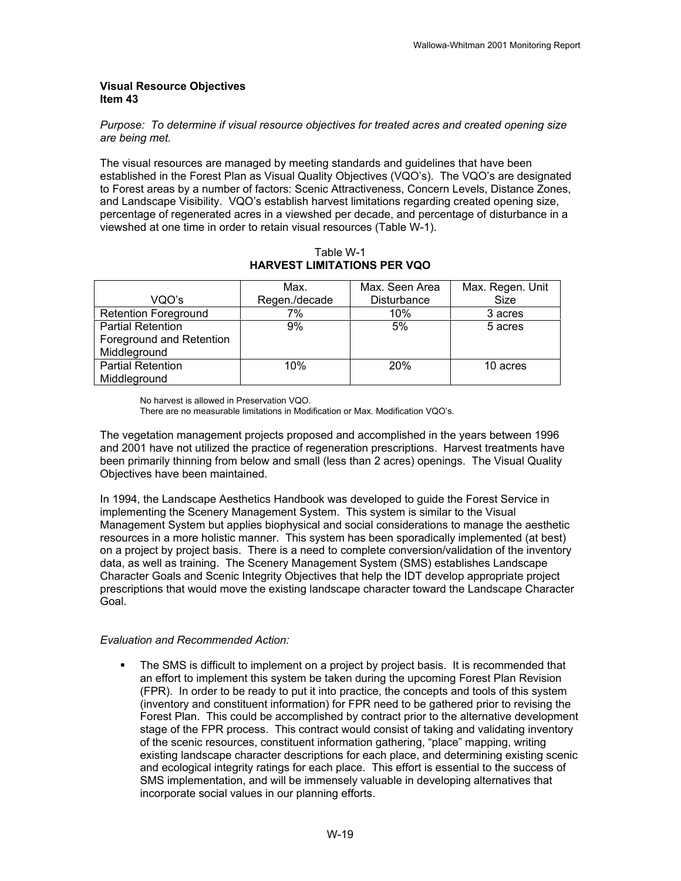#### **Visual Resource Objectives Item 43**

#### *Purpose: To determine if visual resource objectives for treated acres and created opening size are being met.*

The visual resources are managed by meeting standards and guidelines that have been established in the Forest Plan as Visual Quality Objectives (VQO's). The VQO's are designated to Forest areas by a number of factors: Scenic Attractiveness, Concern Levels, Distance Zones, and Landscape Visibility. VQO's establish harvest limitations regarding created opening size, percentage of regenerated acres in a viewshed per decade, and percentage of disturbance in a viewshed at one time in order to retain visual resources (Table W-1).

|                             | Max.          | Max. Seen Area     | Max. Regen. Unit |
|-----------------------------|---------------|--------------------|------------------|
| VQO's                       | Regen./decade | <b>Disturbance</b> | Size             |
| <b>Retention Foreground</b> | 7%            | 10%                | 3 acres          |
| <b>Partial Retention</b>    | 9%            | 5%                 | 5 acres          |
| Foreground and Retention    |               |                    |                  |
| Middleground                |               |                    |                  |
| <b>Partial Retention</b>    | 10%           | 20%                | 10 acres         |
| Middleground                |               |                    |                  |

Table W-1 **HARVEST LIMITATIONS PER VQO** 

No harvest is allowed in Preservation VQO.

There are no measurable limitations in Modification or Max. Modification VQO's.

The vegetation management projects proposed and accomplished in the years between 1996 and 2001 have not utilized the practice of regeneration prescriptions. Harvest treatments have been primarily thinning from below and small (less than 2 acres) openings. The Visual Quality Objectives have been maintained.

In 1994, the Landscape Aesthetics Handbook was developed to guide the Forest Service in implementing the Scenery Management System. This system is similar to the Visual Management System but applies biophysical and social considerations to manage the aesthetic resources in a more holistic manner. This system has been sporadically implemented (at best) on a project by project basis. There is a need to complete conversion/validation of the inventory data, as well as training. The Scenery Management System (SMS) establishes Landscape Character Goals and Scenic Integrity Objectives that help the IDT develop appropriate project prescriptions that would move the existing landscape character toward the Landscape Character Goal.

#### *Evaluation and Recommended Action:*

 The SMS is difficult to implement on a project by project basis. It is recommended that an effort to implement this system be taken during the upcoming Forest Plan Revision (FPR). In order to be ready to put it into practice, the concepts and tools of this system (inventory and constituent information) for FPR need to be gathered prior to revising the Forest Plan. This could be accomplished by contract prior to the alternative development stage of the FPR process. This contract would consist of taking and validating inventory of the scenic resources, constituent information gathering, "place" mapping, writing existing landscape character descriptions for each place, and determining existing scenic and ecological integrity ratings for each place. This effort is essential to the success of SMS implementation, and will be immensely valuable in developing alternatives that incorporate social values in our planning efforts.